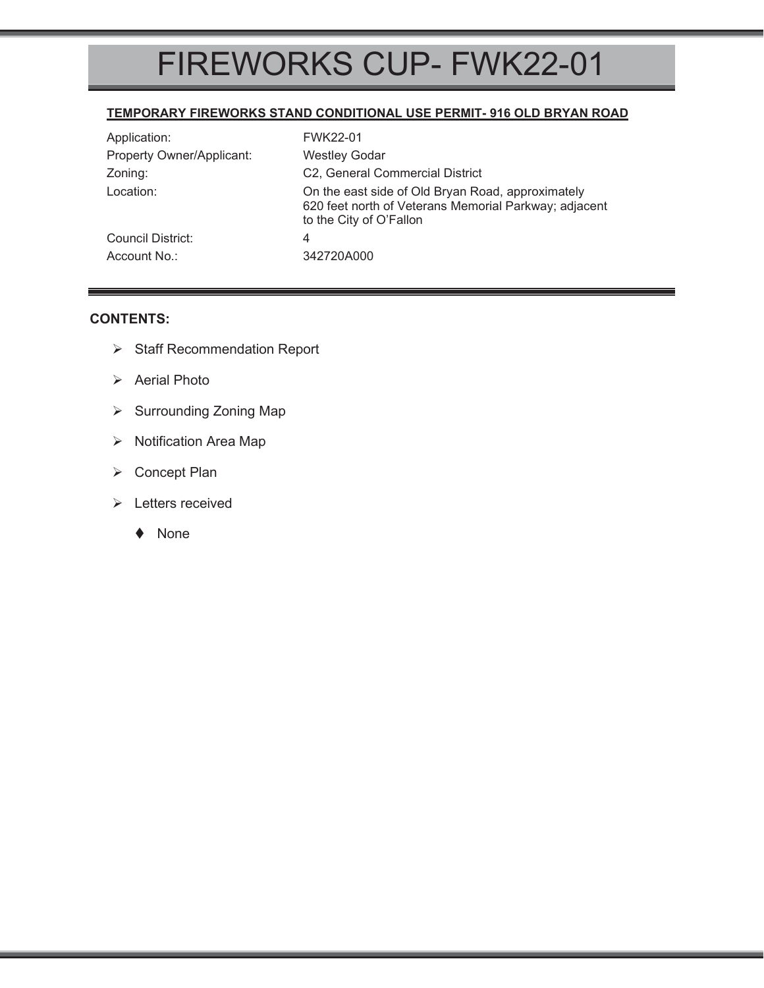# FIREWORKS CUP- FWK22-01

#### **TEMPORARY FIREWORKS STAND CONDITIONAL USE PERMIT- 916 OLD BRYAN ROAD**

| Application:              | FWK22-01                                                                                                                              |
|---------------------------|---------------------------------------------------------------------------------------------------------------------------------------|
| Property Owner/Applicant: | <b>Westley Godar</b>                                                                                                                  |
| Zoning:                   | C2, General Commercial District                                                                                                       |
| Location:                 | On the east side of Old Bryan Road, approximately<br>620 feet north of Veterans Memorial Parkway; adjacent<br>to the City of O'Fallon |
| Council District:         | 4                                                                                                                                     |
| Account No.:              | 342720A000                                                                                                                            |

#### **CONTENTS:**

- ¾ Staff Recommendation Report
- ¾ Aerial Photo
- ¾ Surrounding Zoning Map
- $\triangleright$  Notification Area Map
- ¾ Concept Plan
- $\triangleright$  Letters received
	- ◆ None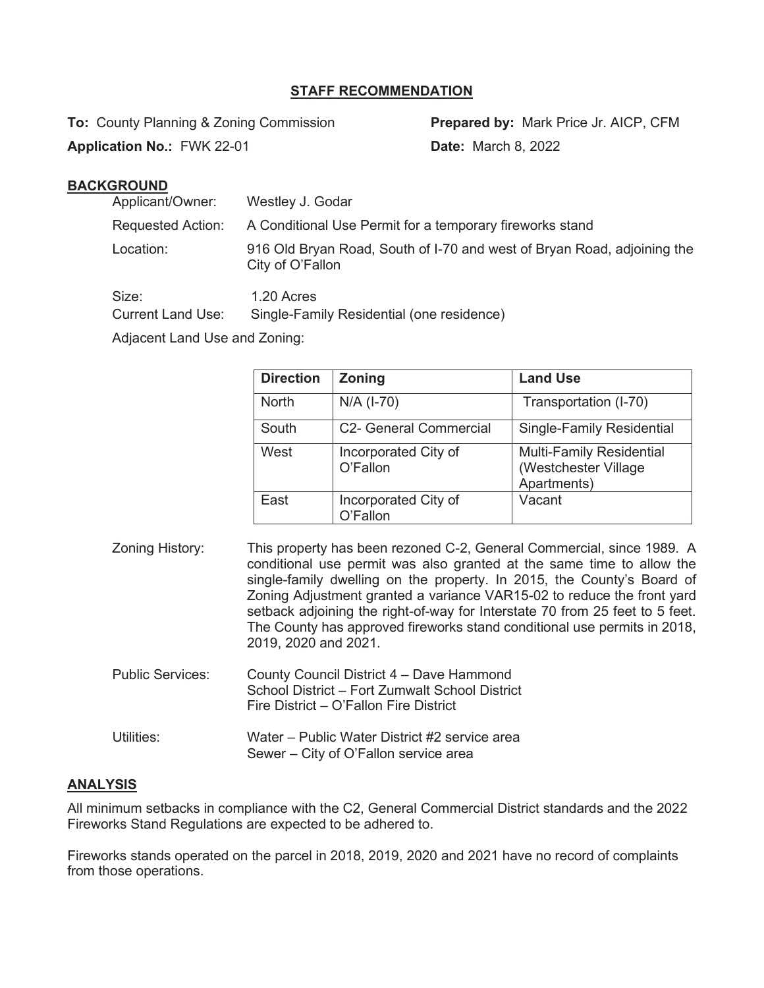## **STAFF RECOMMENDATION**

**To:** County Planning & Zoning Commission **Prepared by:** Mark Price Jr. AICP, CFM

**Application No.:** FWK 22-01 **Date:** March 8, 2022

# **BACKGROUND**

| Applicant/Owner:                  | Westley J. Godar                                                                            |  |
|-----------------------------------|---------------------------------------------------------------------------------------------|--|
| <b>Requested Action:</b>          | A Conditional Use Permit for a temporary fireworks stand                                    |  |
| Location:                         | 916 Old Bryan Road, South of I-70 and west of Bryan Road, adjoining the<br>City of O'Fallon |  |
| Size:<br><b>Current Land Use:</b> | 1.20 Acres<br>Single-Family Residential (one residence)                                     |  |

Adjacent Land Use and Zoning:

| <b>Direction</b> | <b>Zoning</b>                    | <b>Land Use</b>                                                        |
|------------------|----------------------------------|------------------------------------------------------------------------|
| <b>North</b>     | $N/A$ (I-70)                     | Transportation (I-70)                                                  |
| South            | <b>C2- General Commercial</b>    | <b>Single-Family Residential</b>                                       |
| West             | Incorporated City of<br>O'Fallon | <b>Multi-Family Residential</b><br>(Westchester Village<br>Apartments) |
| East             | Incorporated City of<br>O'Fallon | Vacant                                                                 |

| Zoning History:         | This property has been rezoned C-2, General Commercial, since 1989. A<br>conditional use permit was also granted at the same time to allow the<br>single-family dwelling on the property. In 2015, the County's Board of<br>Zoning Adjustment granted a variance VAR15-02 to reduce the front yard<br>setback adjoining the right-of-way for Interstate 70 from 25 feet to 5 feet.<br>The County has approved fireworks stand conditional use permits in 2018,<br>2019, 2020 and 2021. |
|-------------------------|----------------------------------------------------------------------------------------------------------------------------------------------------------------------------------------------------------------------------------------------------------------------------------------------------------------------------------------------------------------------------------------------------------------------------------------------------------------------------------------|
| <b>Public Services:</b> | County Council District 4 - Dave Hammond<br>School District - Fort Zumwalt School District<br>Fire District – O'Fallon Fire District                                                                                                                                                                                                                                                                                                                                                   |

# Utilities: Water – Public Water District #2 service area Sewer – City of O'Fallon service area

### **ANALYSIS**

All minimum setbacks in compliance with the C2, General Commercial District standards and the 2022 Fireworks Stand Regulations are expected to be adhered to.

Fireworks stands operated on the parcel in 2018, 2019, 2020 and 2021 have no record of complaints from those operations.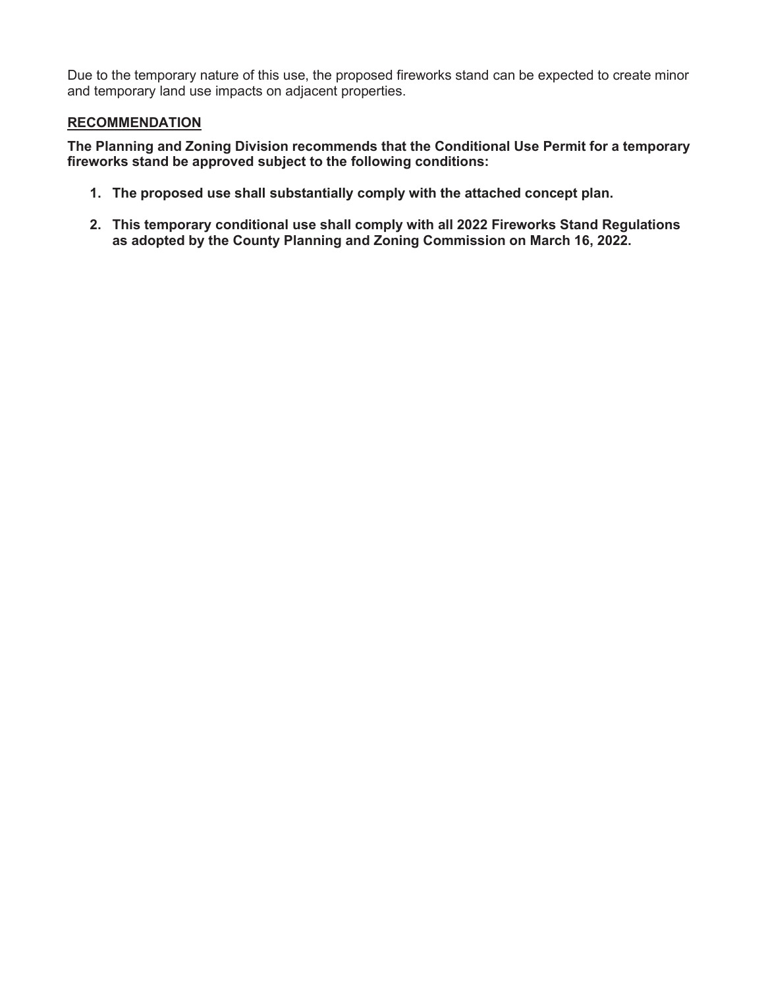Due to the temporary nature of this use, the proposed fireworks stand can be expected to create minor and temporary land use impacts on adjacent properties.

## **RECOMMENDATION**

**The Planning and Zoning Division recommends that the Conditional Use Permit for a temporary fireworks stand be approved subject to the following conditions:** 

- **1. The proposed use shall substantially comply with the attached concept plan.**
- **2. This temporary conditional use shall comply with all 2022 Fireworks Stand Regulations as adopted by the County Planning and Zoning Commission on March 16, 2022.**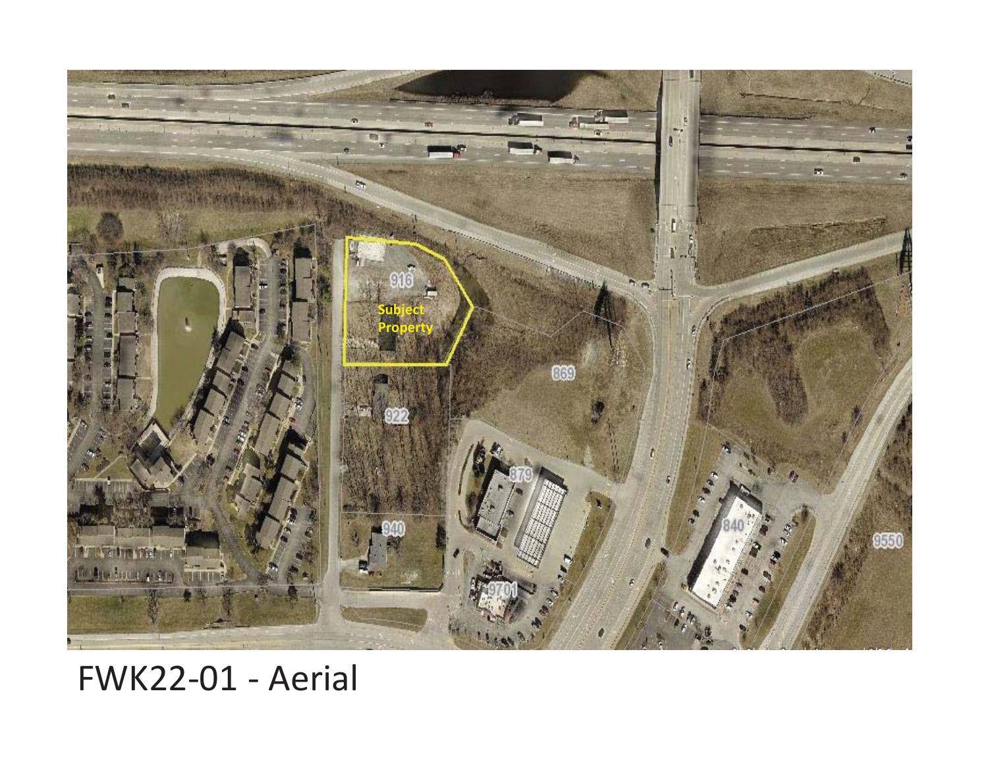

# FWK22-01 - Aerial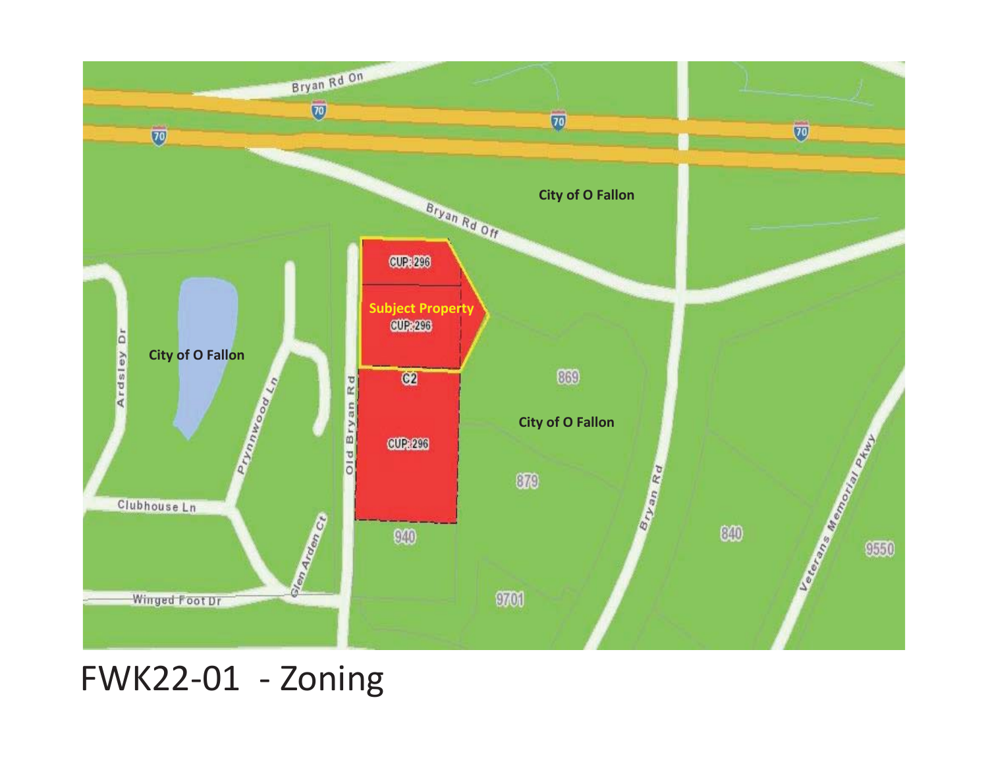

# FWK22-01 - Zoning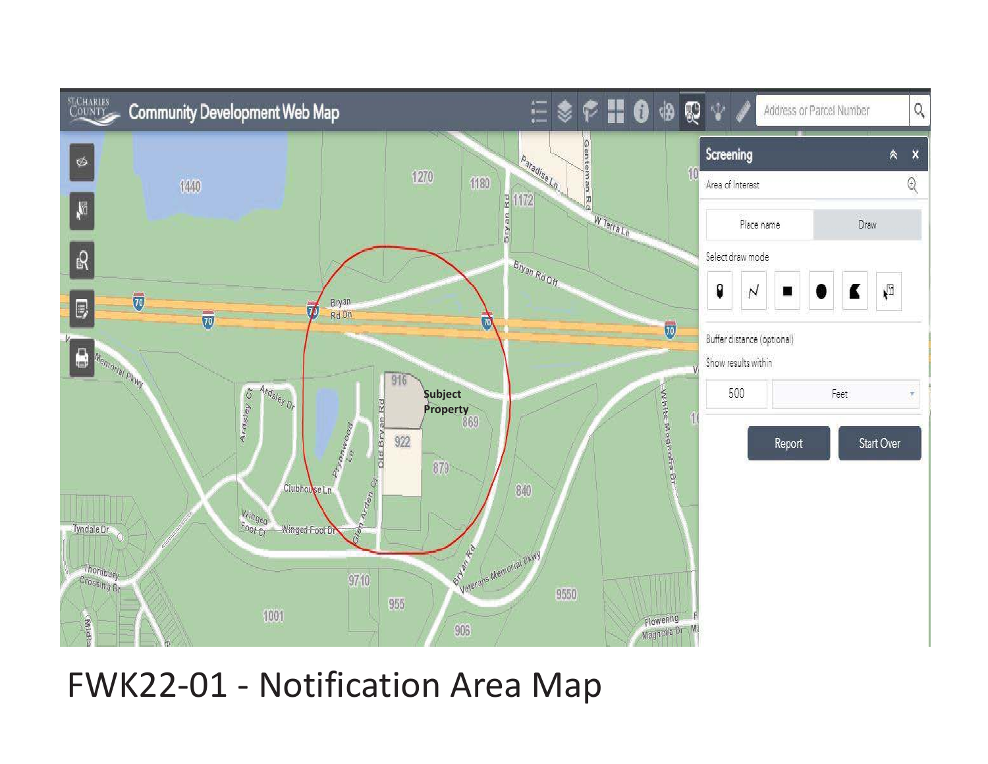

FWK22-01 - Notification Area Map